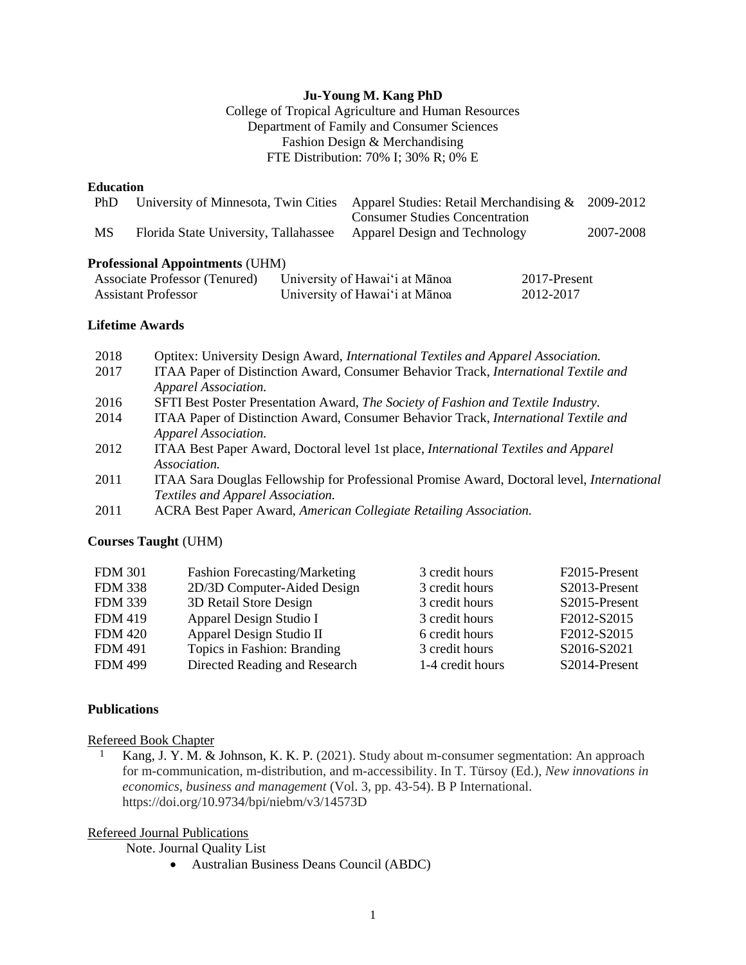### **Ju-Young M. Kang PhD**

College of Tropical Agriculture and Human Resources Department of Family and Consumer Sciences Fashion Design & Merchandising FTE Distribution: 70% I; 30% R; 0% E

### **Education**

| PhD                                                         | University of Minnesota, Twin Cities   | Apparel Studies: Retail Merchandising $\&$<br><b>Consumer Studies Concentration</b> |                           | 2009-2012 |
|-------------------------------------------------------------|----------------------------------------|-------------------------------------------------------------------------------------|---------------------------|-----------|
| MS                                                          | Florida State University, Tallahassee  | Apparel Design and Technology                                                       |                           | 2007-2008 |
|                                                             | <b>Professional Appointments (UHM)</b> |                                                                                     |                           |           |
| Associate Professor (Tenured)<br><b>Assistant Professor</b> |                                        | University of Hawai'i at Mānoa<br>University of Hawai'i at Mānoa                    | 2017-Present<br>2012-2017 |           |

## **Lifetime Awards**

| 2018 | Optitex: University Design Award, International Textiles and Apparel Association.                 |
|------|---------------------------------------------------------------------------------------------------|
| 2017 | ITAA Paper of Distinction Award, Consumer Behavior Track, International Textile and               |
|      | Apparel Association.                                                                              |
| 2016 | SFTI Best Poster Presentation Award, The Society of Fashion and Textile Industry.                 |
| 2014 | ITAA Paper of Distinction Award, Consumer Behavior Track, International Textile and               |
|      | Apparel Association.                                                                              |
| 2012 | ITAA Best Paper Award, Doctoral level 1st place, <i>International Textiles and Apparel</i>        |
|      | Association.                                                                                      |
| 2011 | ITAA Sara Douglas Fellowship for Professional Promise Award, Doctoral level, <i>International</i> |
|      | Textiles and Apparel Association.                                                                 |
| 2011 | ACRA Best Paper Award, American Collegiate Retailing Association.                                 |
|      |                                                                                                   |

#### **Courses Taught** (UHM)

| <b>FDM 301</b> | <b>Fashion Forecasting/Marketing</b> | 3 credit hours   | F2015-Present |
|----------------|--------------------------------------|------------------|---------------|
| <b>FDM 338</b> | 2D/3D Computer-Aided Design          | 3 credit hours   | S2013-Present |
| <b>FDM 339</b> | 3D Retail Store Design               | 3 credit hours   | S2015-Present |
| <b>FDM 419</b> | Apparel Design Studio I              | 3 credit hours   | F2012-S2015   |
| <b>FDM 420</b> | Apparel Design Studio II             | 6 credit hours   | F2012-S2015   |
| <b>FDM 491</b> | Topics in Fashion: Branding          | 3 credit hours   | S2016-S2021   |
| <b>FDM 499</b> | Directed Reading and Research        | 1-4 credit hours | S2014-Present |

#### **Publications**

#### Refereed Book Chapter

1 Kang, J. Y. M. & Johnson, K. K. P. (2021). Study about m-consumer segmentation: An approach for m-communication, m-distribution, and m-accessibility. In T. Türsoy (Ed.), *New innovations in economics, business and management* (Vol. 3, pp. 43-54). B P International. https://doi.org/10.9734/bpi/niebm/v3/14573D

## Refereed Journal Publications

Note. Journal Quality List

• Australian Business Deans Council (ABDC)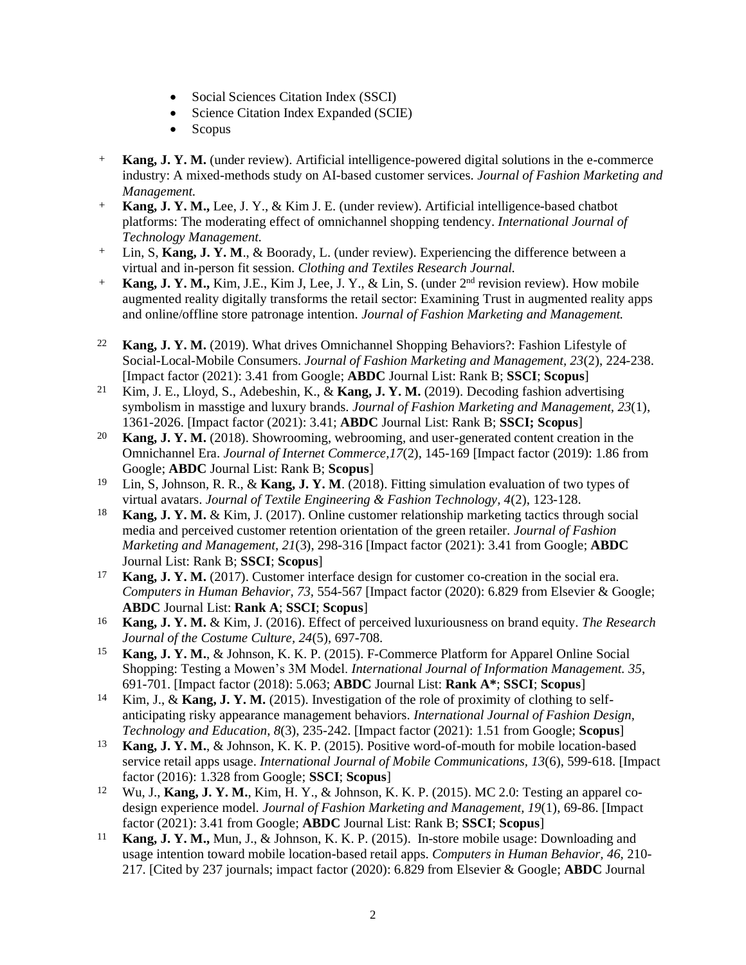- Social Sciences Citation Index (SSCI)
- Science Citation Index Expanded (SCIE)
- Scopus
- + **Kang, J. Y. M.** (under review). Artificial intelligence-powered digital solutions in the e-commerce industry: A mixed-methods study on AI-based customer services. *Journal of Fashion Marketing and Management.*
- + **Kang, J. Y. M.,** Lee, J. Y., & Kim J. E. (under review). Artificial intelligence-based chatbot platforms: The moderating effect of omnichannel shopping tendency. *International Journal of Technology Management.*
- + Lin, S, **Kang, J. Y. M**., & Boorady, L. (under review). Experiencing the difference between a virtual and in-person fit session. *Clothing and Textiles Research Journal.*
- + **Kang, J. Y. M.,** Kim, J.E., Kim J, Lee, J. Y., & Lin, S. (under 2 nd revision review). How mobile augmented reality digitally transforms the retail sector: Examining Trust in augmented reality apps and online/offline store patronage intention. *Journal of Fashion Marketing and Management.*
- 22 **Kang, J. Y. M.** (2019). What drives Omnichannel Shopping Behaviors?: Fashion Lifestyle of Social-Local-Mobile Consumers. *Journal of Fashion Marketing and Management, 23*(2), 224-238. [Impact factor (2021): 3.41 from Google; **ABDC** Journal List: Rank B; **SSCI**; **Scopus**]
- 21 Kim, J. E., Lloyd, S., Adebeshin, K., & **Kang, J. Y. M.** (2019). Decoding fashion advertising symbolism in masstige and luxury brands. *Journal of Fashion Marketing and Management, 23*(1), 1361-2026. [Impact factor (2021): 3.41; **ABDC** Journal List: Rank B; **SSCI; Scopus**]
- 20 **Kang, J. Y. M.** (2018). Showrooming, webrooming, and user-generated content creation in the Omnichannel Era. *Journal of Internet Commerce,17*(2), 145-169 [Impact factor (2019): 1.86 from Google; **ABDC** Journal List: Rank B; **Scopus**]
- 19 Lin, S, Johnson, R. R., & **Kang, J. Y. M**. (2018). Fitting simulation evaluation of two types of virtual avatars. *Journal of Textile Engineering & Fashion Technology, 4*(2), 123-128.
- 18 **Kang, J. Y. M.** & Kim, J. (2017). Online customer relationship marketing tactics through social media and perceived customer retention orientation of the green retailer. *Journal of Fashion Marketing and Management*, *21*(3), 298-316 [Impact factor (2021): 3.41 from Google; **ABDC** Journal List: Rank B; **SSCI**; **Scopus**]
- 17 **Kang, J. Y. M.** (2017). Customer interface design for customer co-creation in the social era*. Computers in Human Behavior, 73,* 554-567 [Impact factor (2020): 6.829 from Elsevier & Google; **ABDC** Journal List: **Rank A**; **SSCI**; **Scopus**]
- 16 **Kang, J. Y. M.** & Kim, J. (2016). Effect of perceived luxuriousness on brand equity. *The Research Journal of the Costume Culture, 24*(5), 697-708.
- 15 **Kang, J. Y. M.**, & Johnson, K. K. P. (2015). F-Commerce Platform for Apparel Online Social Shopping: Testing a Mowen's 3M Model. *International Journal of Information Management. 35*, 691-701. [Impact factor (2018): 5.063; **ABDC** Journal List: **Rank A\***; **SSCI**; **Scopus**]
- 14 Kim, J., & **Kang, J. Y. M.** (2015). Investigation of the role of proximity of clothing to selfanticipating risky appearance management behaviors. *International Journal of Fashion Design, Technology and Education*, *8*(3), 235-242. [Impact factor (2021): 1.51 from Google; **Scopus**]
- 13 **Kang, J. Y. M.**, & Johnson, K. K. P. (2015). Positive word-of-mouth for mobile location-based service retail apps usage. *International Journal of Mobile Communications, 13*(6), 599-618. [Impact factor (2016): 1.328 from Google; **SSCI**; **Scopus**]
- 12 Wu, J., **Kang, J. Y. M.**, Kim, H. Y., & Johnson, K. K. P. (2015). MC 2.0: Testing an apparel codesign experience model. *Journal of Fashion Marketing and Management, 19*(1), 69-86. [Impact factor (2021): 3.41 from Google; **ABDC** Journal List: Rank B; **SSCI**; **Scopus**]
- 11 **Kang, J. Y. M.,** Mun, J., & Johnson, K. K. P. (2015). In-store mobile usage: Downloading and usage intention toward mobile location-based retail apps. *Computers in Human Behavior, 46,* 210- 217. [Cited by 237 journals; impact factor (2020): 6.829 from Elsevier & Google; **ABDC** Journal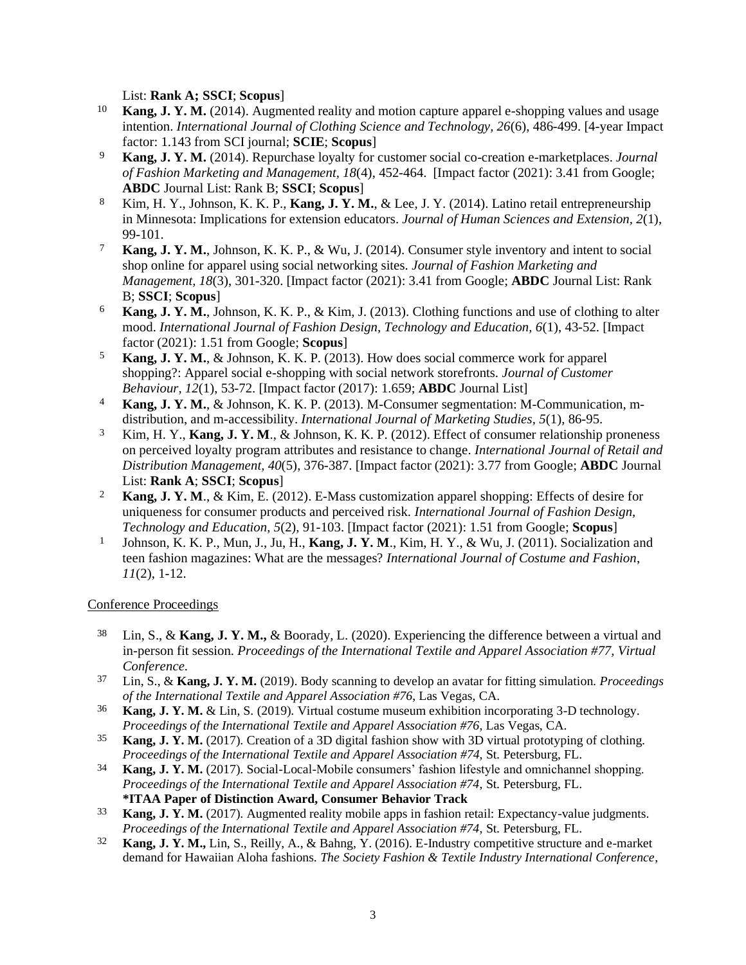List: **Rank A; SSCI**; **Scopus**]

- 10 **Kang, J. Y. M.** (2014). Augmented reality and motion capture apparel e-shopping values and usage intention. *International Journal of Clothing Science and Technology, 26*(6), 486-499. [4-year Impact factor: 1.143 from SCI journal; **SCIE**; **Scopus**]
- 9 **Kang, J. Y. M.** (2014). Repurchase loyalty for customer social co-creation e-marketplaces. *Journal of Fashion Marketing and Management, 18*(4), 452-464. [Impact factor (2021): 3.41 from Google; **ABDC** Journal List: Rank B; **SSCI**; **Scopus**]
- 8 Kim, H. Y., Johnson, K. K. P., **Kang, J. Y. M.**, & Lee, J. Y. (2014). Latino retail entrepreneurship in Minnesota: Implications for extension educators. *Journal of Human Sciences and Extension, 2*(1), 99-101.
- 7 **Kang, J. Y. M.**, Johnson, K. K. P., & Wu, J. (2014). Consumer style inventory and intent to social shop online for apparel using social networking sites. *Journal of Fashion Marketing and Management, 18*(3), 301-320. [Impact factor (2021): 3.41 from Google; **ABDC** Journal List: Rank B; **SSCI**; **Scopus**]
- 6 **Kang, J. Y. M.**, Johnson, K. K. P., & Kim, J. (2013). Clothing functions and use of clothing to alter mood. *International Journal of Fashion Design, Technology and Education, 6*(1), 43-52. [Impact factor (2021): 1.51 from Google; **Scopus**]
- 5 **Kang, J. Y. M.**, & Johnson, K. K. P. (2013). How does social commerce work for apparel shopping?: Apparel social e-shopping with social network storefronts. *Journal of Customer Behaviour, 12*(1), 53-72. [Impact factor (2017): 1.659; **ABDC** Journal List]
- 4 **Kang, J. Y. M.**, & Johnson, K. K. P. (2013). M-Consumer segmentation: M-Communication, mdistribution, and m-accessibility. *International Journal of Marketing Studies, 5*(1), 86-95.
- 3 Kim, H. Y., **Kang, J. Y. M**., & Johnson, K. K. P. (2012). Effect of consumer relationship proneness on perceived loyalty program attributes and resistance to change. *International Journal of Retail and Distribution Management, 40*(5), 376-387. [Impact factor (2021): 3.77 from Google; **ABDC** Journal List: **Rank A**; **SSCI**; **Scopus**]
- 2 **Kang, J. Y. M**., & Kim, E. (2012). E-Mass customization apparel shopping: Effects of desire for uniqueness for consumer products and perceived risk. *International Journal of Fashion Design, Technology and Education*, *5*(2), 91-103. [Impact factor (2021): 1.51 from Google; **Scopus**]
- 1 Johnson, K. K. P., Mun, J., Ju, H., **Kang, J. Y. M**., Kim, H. Y., & Wu, J. (2011). Socialization and teen fashion magazines: What are the messages? *International Journal of Costume and Fashion*, *11*(2), 1-12.

## Conference Proceedings

- 38 Lin, S., & **Kang, J. Y. M.,** & Boorady, L. (2020). Experiencing the difference between a virtual and in-person fit session. *Proceedings of the International Textile and Apparel Association #77, Virtual Conference.*
- 37 Lin, S., & **Kang, J. Y. M.** (2019). Body scanning to develop an avatar for fitting simulation. *Proceedings of the International Textile and Apparel Association #76*, Las Vegas, CA.
- 36 **Kang, J. Y. M.** & Lin, S. (2019). Virtual costume museum exhibition incorporating 3-D technology. *Proceedings of the International Textile and Apparel Association #76*, Las Vegas, CA.
- 35 **Kang, J. Y. M.** (2017). Creation of a 3D digital fashion show with 3D virtual prototyping of clothing. *Proceedings of the International Textile and Apparel Association #74*, St. Petersburg, FL.
- 34 **Kang, J. Y. M.** (2017). Social-Local-Mobile consumers' fashion lifestyle and omnichannel shopping. *Proceedings of the International Textile and Apparel Association #74*, St. Petersburg, FL. **\*ITAA Paper of Distinction Award, Consumer Behavior Track**
- 33 **Kang, J. Y. M.** (2017). Augmented reality mobile apps in fashion retail: Expectancy-value judgments. *Proceedings of the International Textile and Apparel Association #74*, St. Petersburg, FL.
- 32 **Kang, J. Y. M.,** Lin, S., Reilly, A., & Bahng, Y. (2016). E-Industry competitive structure and e-market demand for Hawaiian Aloha fashions. *The Society Fashion & Textile Industry International Conference*,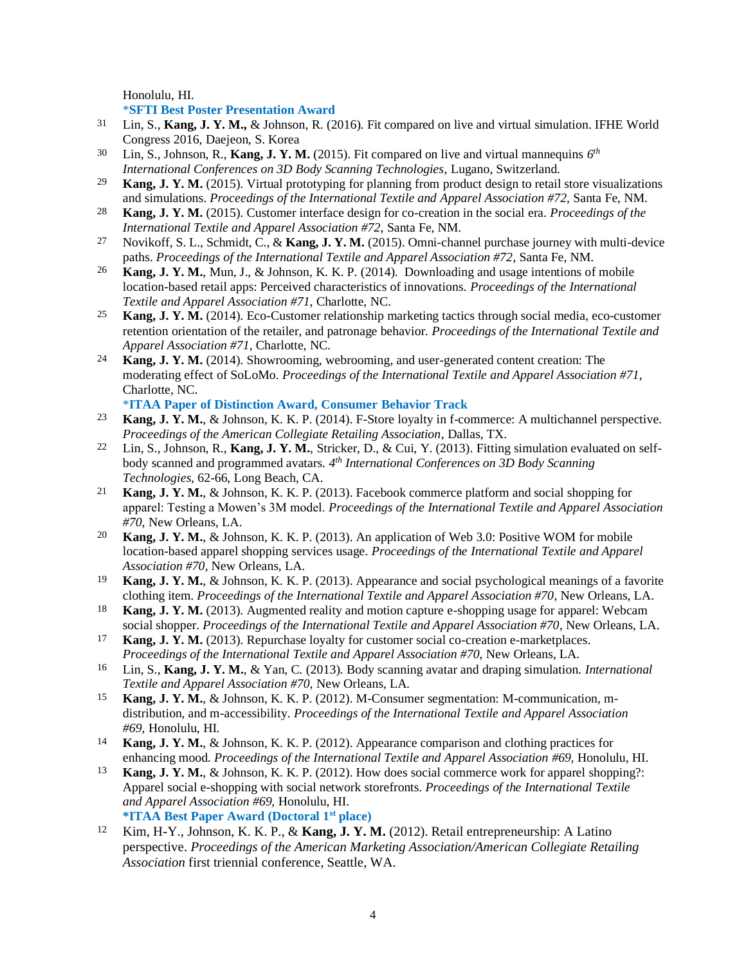Honolulu, HI.

\***SFTI Best Poster Presentation Award**

- 31 Lin, S., **Kang, J. Y. M.,** & Johnson, R. (2016). Fit compared on live and virtual simulation. IFHE World Congress 2016, Daejeon, S. Korea
- <sup>30</sup> Lin, S., Johnson, R., **Kang, J. Y. M.** (2015). Fit compared on live and virtual mannequins  $6<sup>th</sup>$ *International Conferences on 3D Body Scanning Technologies*, Lugano, Switzerland.
- 29 **Kang, J. Y. M.** (2015). Virtual prototyping for planning from product design to retail store visualizations and simulations. *Proceedings of the International Textile and Apparel Association #72*, Santa Fe, NM.
- 28 **Kang, J. Y. M.** (2015). Customer interface design for co-creation in the social era. *Proceedings of the International Textile and Apparel Association #72*, Santa Fe, NM.
- 27 Novikoff, S. L., Schmidt, C., & **Kang, J. Y. M.** (2015). Omni-channel purchase journey with multi-device paths. *Proceedings of the International Textile and Apparel Association #72*, Santa Fe, NM.
- 26 **Kang, J. Y. M.**, Mun, J., & Johnson, K. K. P. (2014). Downloading and usage intentions of mobile location-based retail apps: Perceived characteristics of innovations. *Proceedings of the International Textile and Apparel Association #71*, Charlotte, NC.
- 25 **Kang, J. Y. M.** (2014). Eco-Customer relationship marketing tactics through social media, eco-customer retention orientation of the retailer, and patronage behavior. *Proceedings of the International Textile and Apparel Association #71*, Charlotte, NC.
- 24 **Kang, J. Y. M.** (2014). Showrooming, webrooming, and user-generated content creation: The moderating effect of SoLoMo. *Proceedings of the International Textile and Apparel Association #71*, Charlotte, NC.
	- \***ITAA Paper of Distinction Award, Consumer Behavior Track**
- 23 **Kang, J. Y. M.**, & Johnson, K. K. P. (2014). F-Store loyalty in f-commerce: A multichannel perspective. *Proceedings of the American Collegiate Retailing Association*, Dallas, TX.
- 22 Lin, S., Johnson, R., **Kang, J. Y. M.**, Stricker, D., & Cui, Y. (2013). Fitting simulation evaluated on selfbody scanned and programmed avatars. *4 th International Conferences on 3D Body Scanning Technologies*, 62-66, Long Beach, CA.
- 21 **Kang, J. Y. M.**, & Johnson, K. K. P. (2013). Facebook commerce platform and social shopping for apparel: Testing a Mowen's 3M model. *Proceedings of the International Textile and Apparel Association #70*, New Orleans, LA.
- 20 **Kang, J. Y. M.**, & Johnson, K. K. P. (2013). An application of Web 3.0: Positive WOM for mobile location-based apparel shopping services usage. *Proceedings of the International Textile and Apparel Association #70*, New Orleans, LA.
- 19 **Kang, J. Y. M.**, & Johnson, K. K. P. (2013). Appearance and social psychological meanings of a favorite clothing item. *Proceedings of the International Textile and Apparel Association #70*, New Orleans, LA.
- 18 **Kang, J. Y. M.** (2013). Augmented reality and motion capture e-shopping usage for apparel: Webcam social shopper. *Proceedings of the International Textile and Apparel Association #70*, New Orleans, LA.
- 17 **Kang, J. Y. M.** (2013). Repurchase loyalty for customer social co-creation e-marketplaces. *Proceedings of the International Textile and Apparel Association #70*, New Orleans, LA.
- 16 Lin, S., **Kang, J. Y. M.**, & Yan, C. (2013). Body scanning avatar and draping simulation. *International Textile and Apparel Association #70*, New Orleans, LA.
- 15 **Kang, J. Y. M.**, & Johnson, K. K. P. (2012). M-Consumer segmentation: M-communication, mdistribution, and m-accessibility. *Proceedings of the International Textile and Apparel Association #69,* Honolulu, HI.
- 14 **Kang, J. Y. M.**, & Johnson, K. K. P. (2012). Appearance comparison and clothing practices for enhancing mood. *Proceedings of the International Textile and Apparel Association #69,* Honolulu, HI.
- 13 **Kang, J. Y. M.**, & Johnson, K. K. P. (2012). How does social commerce work for apparel shopping?: Apparel social e-shopping with social network storefronts. *Proceedings of the International Textile and Apparel Association #69,* Honolulu, HI. **\*ITAA Best Paper Award (Doctoral 1st place)**
- 12 Kim, H-Y., Johnson, K. K. P., & **Kang, J. Y. M.** (2012). Retail entrepreneurship: A Latino perspective. *Proceedings of the American Marketing Association/American Collegiate Retailing Association* first triennial conference, Seattle, WA.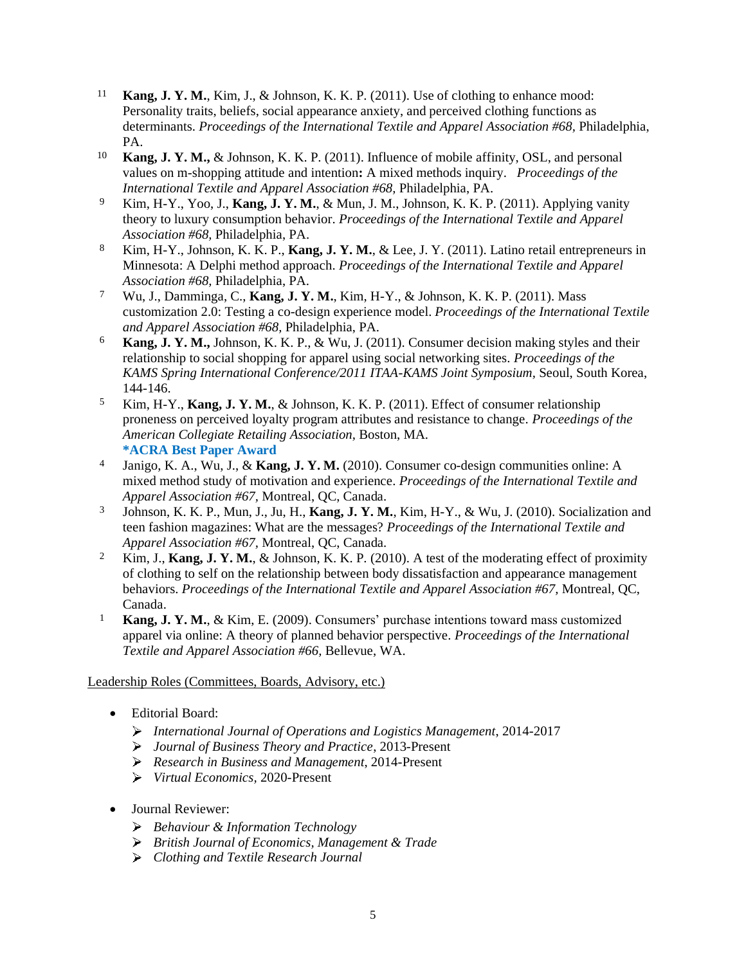- 11 **Kang, J. Y. M.**, Kim, J., & Johnson, K. K. P. (2011). Use of clothing to enhance mood: Personality traits, beliefs, social appearance anxiety, and perceived clothing functions as determinants. *Proceedings of the International Textile and Apparel Association #68,* Philadelphia, PA.
- 10 **Kang, J. Y. M.,** & Johnson, K. K. P. (2011). Influence of mobile affinity, OSL, and personal values on m-shopping attitude and intention**:** A mixed methods inquiry. *Proceedings of the International Textile and Apparel Association #68,* Philadelphia, PA.
- 9 Kim, H-Y., Yoo, J., **Kang, J. Y. M.**, & Mun, J. M., Johnson, K. K. P. (2011). Applying vanity theory to luxury consumption behavior. *Proceedings of the International Textile and Apparel Association #68,* Philadelphia, PA.
- 8 Kim, H-Y., Johnson, K. K. P., **Kang, J. Y. M.**, & Lee, J. Y. (2011). Latino retail entrepreneurs in Minnesota: A Delphi method approach. *Proceedings of the International Textile and Apparel Association #68,* Philadelphia, PA.
- 7 Wu, J., Damminga, C., **Kang, J. Y. M.**, Kim, H-Y., & Johnson, K. K. P. (2011). Mass customization 2.0: Testing a co-design experience model. *Proceedings of the International Textile and Apparel Association #68,* Philadelphia, PA.
- 6 **Kang, J. Y. M.,** Johnson, K. K. P., & Wu, J. (2011). Consumer decision making styles and their relationship to social shopping for apparel using social networking sites. *Proceedings of the KAMS Spring International Conference/2011 ITAA-KAMS Joint Symposium,* Seoul, South Korea, 144-146.
- 5 Kim, H-Y., **Kang, J. Y. M.**, & Johnson, K. K. P. (2011). Effect of consumer relationship proneness on perceived loyalty program attributes and resistance to change. *Proceedings of the American Collegiate Retailing Association,* Boston, MA*.* **\*ACRA Best Paper Award**
- 4 Janigo, K. A., Wu, J., & **Kang, J. Y. M.** (2010). Consumer co-design communities online: A mixed method study of motivation and experience. *Proceedings of the International Textile and Apparel Association #67,* Montreal, QC, Canada.
- 3 Johnson, K. K. P., Mun, J., Ju, H., **Kang, J. Y. M.**, Kim, H-Y., & Wu, J. (2010). Socialization and teen fashion magazines: What are the messages? *Proceedings of the International Textile and Apparel Association #67,* Montreal, QC, Canada.
- 2 Kim, J., **Kang, J. Y. M.**, & Johnson, K. K. P. (2010). A test of the moderating effect of proximity of clothing to self on the relationship between body dissatisfaction and appearance management behaviors. *Proceedings of the International Textile and Apparel Association #67,* Montreal, QC, Canada.
- 1 **Kang, J. Y. M.**, & Kim, E. (2009). Consumers' purchase intentions toward mass customized apparel via online: A theory of planned behavior perspective. *Proceedings of the International Textile and Apparel Association #66,* Bellevue, WA.

# Leadership Roles (Committees, Boards, Advisory, etc.)

- Editorial Board:
	- *International Journal of Operations and Logistics Management*, 2014-2017
	- *Journal of Business Theory and Practice*, 2013-Present
	- *Research in Business and Management*, 2014-Present
	- *Virtual Economics,* 2020-Present
- Journal Reviewer:
	- *Behaviour & Information Technology*
	- *British Journal of Economics, Management & Trade*
	- *Clothing and Textile Research Journal*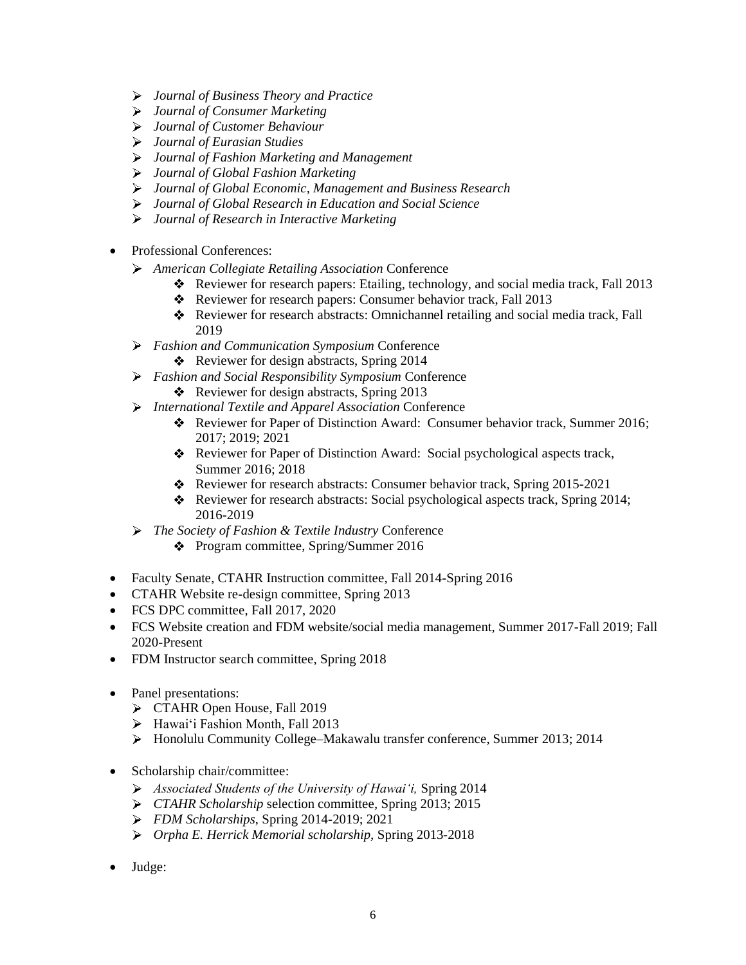- *Journal of Business Theory and Practice*
- *Journal of Consumer Marketing*
- *Journal of Customer Behaviour*
- *Journal of Eurasian Studies*
- *Journal of Fashion Marketing and Management*
- *Journal of Global Fashion Marketing*
- *Journal of Global Economic, Management and Business Research*
- *Journal of Global Research in Education and Social Science*
- *Journal of Research in Interactive Marketing*
- Professional Conferences:
	- *American Collegiate Retailing Association* Conference
		- \* Reviewer for research papers: Etailing, technology, and social media track, Fall 2013
		- \* Reviewer for research papers: Consumer behavior track, Fall 2013
		- Reviewer for research abstracts: Omnichannel retailing and social media track, Fall 2019
	- *Fashion and Communication Symposium* Conference
		- Reviewer for design abstracts, Spring 2014
	- *Fashion and Social Responsibility Symposium* Conference
		- Reviewer for design abstracts, Spring  $2013$
	- *International Textile and Apparel Association* Conference
		- Reviewer for Paper of Distinction Award: Consumer behavior track, Summer 2016; 2017; 2019; 2021
		- Reviewer for Paper of Distinction Award: Social psychological aspects track, Summer 2016; 2018
		- Reviewer for research abstracts: Consumer behavior track, Spring 2015-2021
		- Reviewer for research abstracts: Social psychological aspects track, Spring 2014; 2016-2019
	- *The Society of Fashion & Textile Industry* Conference
		- Program committee, Spring/Summer 2016
- Faculty Senate, CTAHR Instruction committee, Fall 2014-Spring 2016
- CTAHR Website re-design committee, Spring 2013
- FCS DPC committee, Fall 2017, 2020
- FCS Website creation and FDM website/social media management, Summer 2017-Fall 2019; Fall 2020-Present
- FDM Instructor search committee, Spring 2018
- Panel presentations:
	- TAHR Open House, Fall 2019
	- Hawai'i Fashion Month, Fall 2013
	- Honolulu Community College–Makawalu transfer conference, Summer 2013; 2014
- Scholarship chair/committee:
	- *Associated Students of the University of Hawai'i,* Spring 2014
	- *CTAHR Scholarship* selection committee*,* Spring 2013; 2015
	- *FDM Scholarships*, Spring 2014-2019; 2021
	- *Orpha E. Herrick Memorial scholarship,* Spring 2013-2018
- Judge: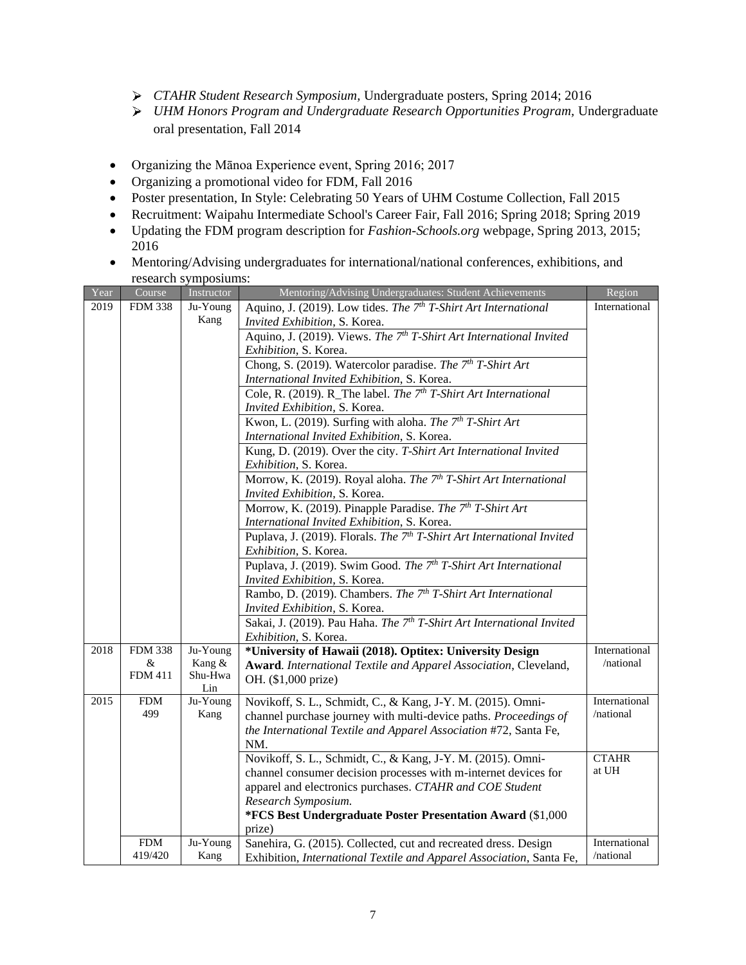- *CTAHR Student Research Symposium,* Undergraduate posters, Spring 2014; 2016
- *UHM Honors Program and Undergraduate Research Opportunities Program,* Undergraduate oral presentation, Fall 2014
- Organizing the Mānoa Experience event, Spring 2016; 2017
- Organizing a promotional video for FDM, Fall 2016
- Poster presentation, In Style: Celebrating 50 Years of UHM Costume Collection, Fall 2015
- Recruitment: Waipahu Intermediate School's Career Fair, Fall 2016; Spring 2018; Spring 2019
- Updating the FDM program description for *Fashion-Schools.org* webpage, Spring 2013, 2015; 2016
- Mentoring/Advising undergraduates for international/national conferences, exhibitions, and research symposiums:

| Year | Course         | Instructor                                                                              | Mentoring/Advising Undergraduates: Student Achievements                            | Region        |
|------|----------------|-----------------------------------------------------------------------------------------|------------------------------------------------------------------------------------|---------------|
| 2019 | <b>FDM 338</b> | Aquino, J. (2019). Low tides. The 7 <sup>th</sup> T-Shirt Art International<br>Ju-Young |                                                                                    | International |
|      |                | Kang                                                                                    | Invited Exhibition, S. Korea.                                                      |               |
|      |                |                                                                                         | Aquino, J. (2019). Views. The 7 <sup>th</sup> T-Shirt Art International Invited    |               |
|      |                |                                                                                         | Exhibition, S. Korea.                                                              |               |
|      |                |                                                                                         | Chong, S. (2019). Watercolor paradise. The 7 <sup>th</sup> T-Shirt Art             |               |
|      |                |                                                                                         | International Invited Exhibition, S. Korea.                                        |               |
|      |                |                                                                                         | Cole, R. (2019). R_The label. The 7 <sup>th</sup> T-Shirt Art International        |               |
|      |                |                                                                                         | Invited Exhibition, S. Korea.                                                      |               |
|      |                |                                                                                         | Kwon, L. (2019). Surfing with aloha. The 7 <sup>th</sup> T-Shirt Art               |               |
|      |                |                                                                                         | International Invited Exhibition, S. Korea.                                        |               |
|      |                |                                                                                         | Kung, D. (2019). Over the city. T-Shirt Art International Invited                  |               |
|      |                |                                                                                         | Exhibition, S. Korea.                                                              |               |
|      |                |                                                                                         | Morrow, K. (2019). Royal aloha. The 7th T-Shirt Art International                  |               |
|      |                |                                                                                         | Invited Exhibition, S. Korea.                                                      |               |
|      |                |                                                                                         | Morrow, K. (2019). Pinapple Paradise. The 7 <sup>th</sup> T-Shirt Art              |               |
|      |                |                                                                                         | International Invited Exhibition, S. Korea.                                        |               |
|      |                |                                                                                         | Puplava, J. (2019). Florals. The 7 <sup>th</sup> T-Shirt Art International Invited |               |
|      |                |                                                                                         | Exhibition, S. Korea.                                                              |               |
|      |                |                                                                                         | Puplava, J. (2019). Swim Good. The 7 <sup>th</sup> T-Shirt Art International       |               |
|      |                |                                                                                         | Invited Exhibition, S. Korea.                                                      |               |
|      |                |                                                                                         | Rambo, D. (2019). Chambers. The 7 <sup>th</sup> T-Shirt Art International          |               |
|      |                |                                                                                         | Invited Exhibition, S. Korea.                                                      |               |
|      |                |                                                                                         | Sakai, J. (2019). Pau Haha. The 7 <sup>th</sup> T-Shirt Art International Invited  |               |
|      |                |                                                                                         | Exhibition, S. Korea.                                                              |               |
| 2018 | <b>FDM 338</b> | Ju-Young                                                                                | *University of Hawaii (2018). Optitex: University Design                           | International |
|      | &              | Kang &                                                                                  | Award. International Textile and Apparel Association, Cleveland,                   | /national     |
|      | <b>FDM 411</b> | Shu-Hwa<br>Lin                                                                          | OH. (\$1,000 prize)                                                                |               |
| 2015 | <b>FDM</b>     | Ju-Young                                                                                | Novikoff, S. L., Schmidt, C., & Kang, J-Y. M. (2015). Omni-                        | International |
|      | 499            | Kang                                                                                    | channel purchase journey with multi-device paths. Proceedings of                   | /national     |
|      |                |                                                                                         | the International Textile and Apparel Association #72, Santa Fe,                   |               |
|      |                |                                                                                         | NM.                                                                                |               |
|      |                |                                                                                         | Novikoff, S. L., Schmidt, C., & Kang, J-Y. M. (2015). Omni-                        | <b>CTAHR</b>  |
|      |                |                                                                                         | channel consumer decision processes with m-internet devices for                    | at UH         |
|      |                |                                                                                         | apparel and electronics purchases. CTAHR and COE Student                           |               |
|      |                |                                                                                         | Research Symposium.                                                                |               |
|      |                |                                                                                         | *FCS Best Undergraduate Poster Presentation Award (\$1,000                         |               |
|      |                |                                                                                         | prize)                                                                             |               |
|      | <b>FDM</b>     | Ju-Young                                                                                | Sanehira, G. (2015). Collected, cut and recreated dress. Design                    | International |
|      | 419/420        | Kang                                                                                    | Exhibition, International Textile and Apparel Association, Santa Fe,               | /national     |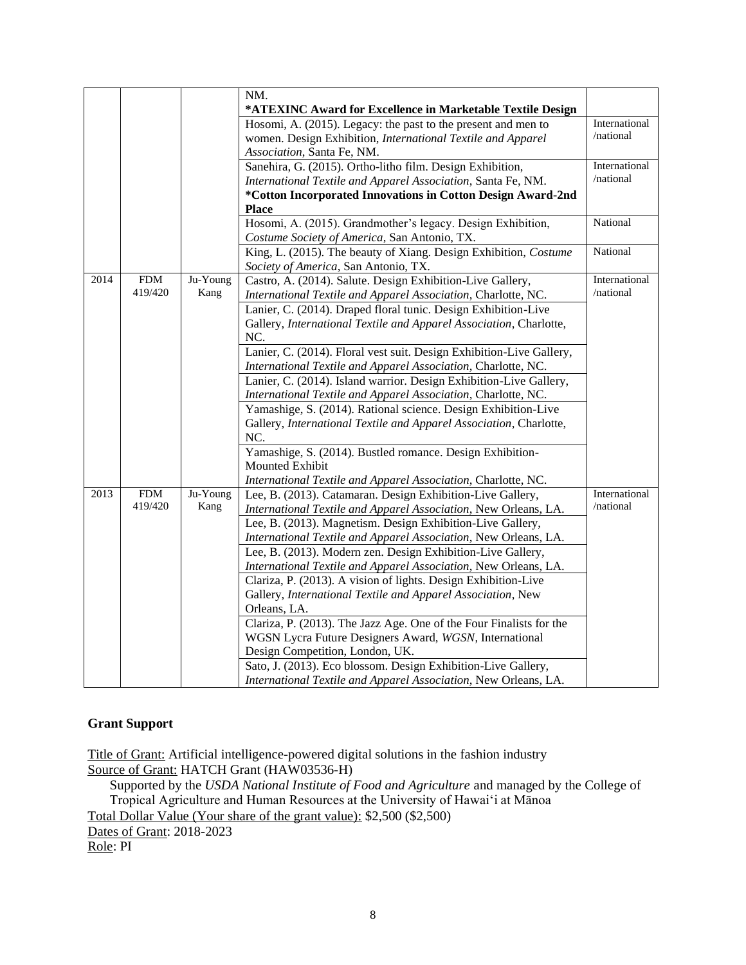|      |             |          | NM.                                                                  |               |
|------|-------------|----------|----------------------------------------------------------------------|---------------|
|      |             |          | *ATEXINC Award for Excellence in Marketable Textile Design           |               |
|      |             |          | Hosomi, A. (2015). Legacy: the past to the present and men to        | International |
|      |             |          | women. Design Exhibition, International Textile and Apparel          | /national     |
|      |             |          | Association, Santa Fe, NM.                                           |               |
|      |             |          | Sanehira, G. (2015). Ortho-litho film. Design Exhibition,            | International |
|      |             |          | International Textile and Apparel Association, Santa Fe, NM.         | /national     |
|      |             |          | *Cotton Incorporated Innovations in Cotton Design Award-2nd          |               |
|      |             |          | <b>Place</b>                                                         |               |
|      |             |          | Hosomi, A. (2015). Grandmother's legacy. Design Exhibition,          | National      |
|      |             |          | Costume Society of America, San Antonio, TX.                         |               |
|      |             |          | King, L. (2015). The beauty of Xiang. Design Exhibition, Costume     | National      |
|      |             |          | Society of America, San Antonio, TX.                                 |               |
| 2014 | ${\rm FDM}$ | Ju-Young | Castro, A. (2014). Salute. Design Exhibition-Live Gallery,           | International |
|      | 419/420     | Kang     | International Textile and Apparel Association, Charlotte, NC.        | /national     |
|      |             |          | Lanier, C. (2014). Draped floral tunic. Design Exhibition-Live       |               |
|      |             |          | Gallery, International Textile and Apparel Association, Charlotte,   |               |
|      |             |          | NC.                                                                  |               |
|      |             |          | Lanier, C. (2014). Floral vest suit. Design Exhibition-Live Gallery, |               |
|      |             |          | International Textile and Apparel Association, Charlotte, NC.        |               |
|      |             |          | Lanier, C. (2014). Island warrior. Design Exhibition-Live Gallery,   |               |
|      |             |          | International Textile and Apparel Association, Charlotte, NC.        |               |
|      |             |          | Yamashige, S. (2014). Rational science. Design Exhibition-Live       |               |
|      |             |          | Gallery, International Textile and Apparel Association, Charlotte,   |               |
|      |             |          | NC.                                                                  |               |
|      |             |          | Yamashige, S. (2014). Bustled romance. Design Exhibition-            |               |
|      |             |          | Mounted Exhibit                                                      |               |
|      |             |          | International Textile and Apparel Association, Charlotte, NC.        |               |
| 2013 | <b>FDM</b>  | Ju-Young | Lee, B. (2013). Catamaran. Design Exhibition-Live Gallery,           | International |
|      | 419/420     | Kang     | International Textile and Apparel Association, New Orleans, LA.      | /national     |
|      |             |          | Lee, B. (2013). Magnetism. Design Exhibition-Live Gallery,           |               |
|      |             |          | International Textile and Apparel Association, New Orleans, LA.      |               |
|      |             |          | Lee, B. (2013). Modern zen. Design Exhibition-Live Gallery,          |               |
|      |             |          | International Textile and Apparel Association, New Orleans, LA.      |               |
|      |             |          | Clariza, P. (2013). A vision of lights. Design Exhibition-Live       |               |
|      |             |          | Gallery, International Textile and Apparel Association, New          |               |
|      |             |          | Orleans, LA.                                                         |               |
|      |             |          | Clariza, P. (2013). The Jazz Age. One of the Four Finalists for the  |               |
|      |             |          | WGSN Lycra Future Designers Award, WGSN, International               |               |
|      |             |          | Design Competition, London, UK.                                      |               |
|      |             |          | Sato, J. (2013). Eco blossom. Design Exhibition-Live Gallery,        |               |
|      |             |          | International Textile and Apparel Association, New Orleans, LA.      |               |

# **Grant Support**

Title of Grant: Artificial intelligence-powered digital solutions in the fashion industry Source of Grant: HATCH Grant (HAW03536-H)

Supported by the *USDA National Institute of Food and Agriculture* and managed by the College of Tropical Agriculture and Human Resources at the University of Hawai'i at Mānoa Total Dollar Value (Your share of the grant value): \$2,500 (\$2,500)

Dates of Grant: 2018-2023

Role: PI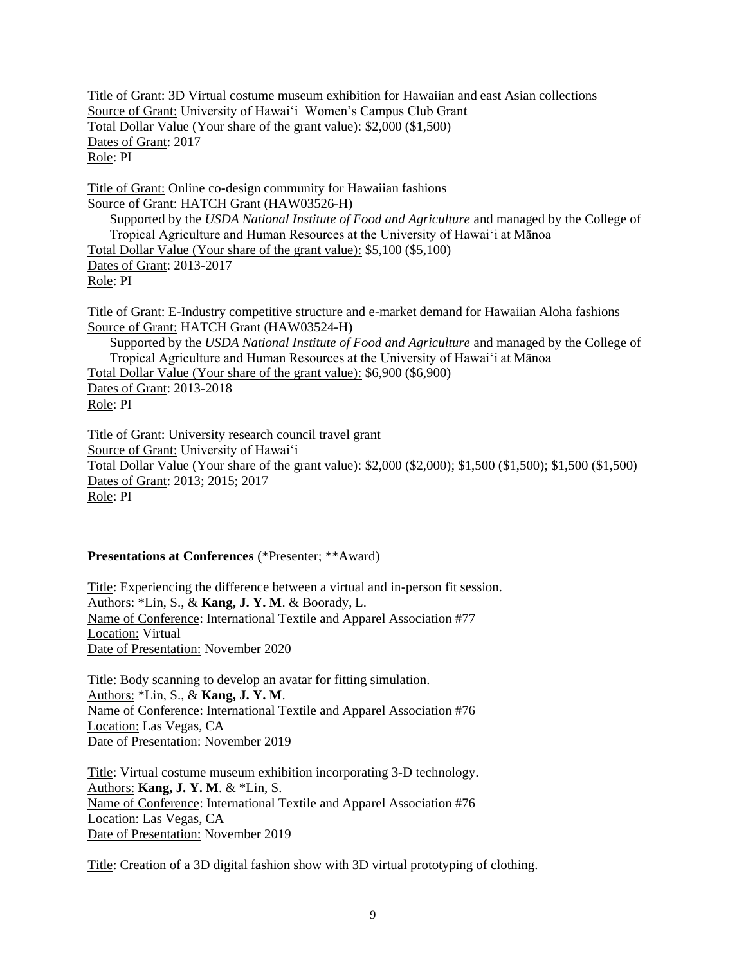Title of Grant: 3D Virtual costume museum exhibition for Hawaiian and east Asian collections Source of Grant: University of Hawai'i Women's Campus Club Grant Total Dollar Value (Your share of the grant value): \$2,000 (\$1,500) Dates of Grant: 2017 Role: PI

Title of Grant: Online co-design community for Hawaiian fashions Source of Grant: HATCH Grant (HAW03526-H) Supported by the *USDA National Institute of Food and Agriculture* and managed by the College of Tropical Agriculture and Human Resources at the University of Hawai'i at Mānoa Total Dollar Value (Your share of the grant value): \$5,100 (\$5,100) Dates of Grant: 2013-2017 Role: PI

Title of Grant: E-Industry competitive structure and e-market demand for Hawaiian Aloha fashions Source of Grant: HATCH Grant (HAW03524-H) Supported by the *USDA National Institute of Food and Agriculture* and managed by the College of Tropical Agriculture and Human Resources at the University of Hawai'i at Mānoa

Total Dollar Value (Your share of the grant value): \$6,900 (\$6,900)

Dates of Grant: 2013-2018 Role: PI

Title of Grant: University research council travel grant Source of Grant: University of Hawai'i Total Dollar Value (Your share of the grant value): \$2,000 (\$2,000); \$1,500 (\$1,500); \$1,500 (\$1,500) Dates of Grant: 2013; 2015; 2017 Role: PI

# **Presentations at Conferences** (\*Presenter; \*\*Award)

Title: Experiencing the difference between a virtual and in-person fit session. Authors: \*Lin, S., & **Kang, J. Y. M**. & Boorady, L. Name of Conference: International Textile and Apparel Association #77 Location: Virtual Date of Presentation: November 2020

Title: Body scanning to develop an avatar for fitting simulation. Authors: \*Lin, S., & **Kang, J. Y. M**. Name of Conference: International Textile and Apparel Association #76 Location: Las Vegas, CA Date of Presentation: November 2019

Title: Virtual costume museum exhibition incorporating 3-D technology. Authors: **Kang, J. Y. M**. & \*Lin, S. Name of Conference: International Textile and Apparel Association #76 Location: Las Vegas, CA Date of Presentation: November 2019

Title: Creation of a 3D digital fashion show with 3D virtual prototyping of clothing.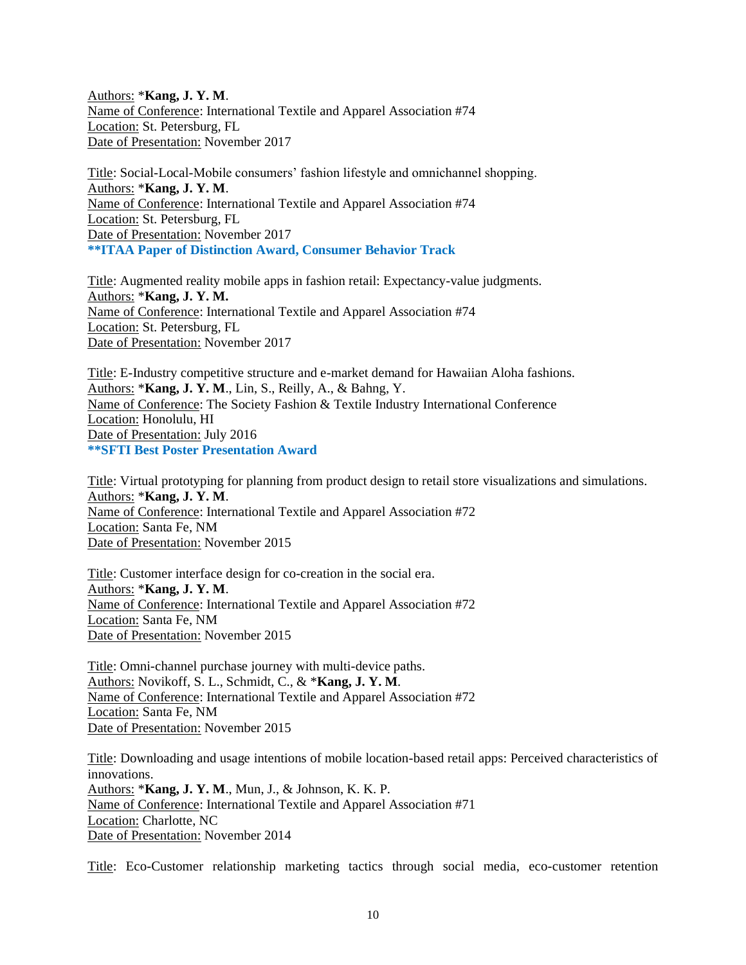Authors: \***Kang, J. Y. M**. Name of Conference: International Textile and Apparel Association #74 Location: St. Petersburg, FL Date of Presentation: November 2017

Title: Social-Local-Mobile consumers' fashion lifestyle and omnichannel shopping. Authors: \***Kang, J. Y. M**. Name of Conference: International Textile and Apparel Association #74 Location: St. Petersburg, FL Date of Presentation: November 2017 **\*\*ITAA Paper of Distinction Award, Consumer Behavior Track**

Title: Augmented reality mobile apps in fashion retail: Expectancy-value judgments. Authors: \***Kang, J. Y. M.** Name of Conference: International Textile and Apparel Association #74 Location: St. Petersburg, FL Date of Presentation: November 2017

Title: E-Industry competitive structure and e-market demand for Hawaiian Aloha fashions. Authors: \***Kang, J. Y. M**., Lin, S., Reilly, A., & Bahng, Y. Name of Conference: The Society Fashion & Textile Industry International Conference Location: Honolulu, HI Date of Presentation: July 2016 **\*\*SFTI Best Poster Presentation Award**

Title: Virtual prototyping for planning from product design to retail store visualizations and simulations. Authors: \***Kang, J. Y. M**. Name of Conference: International Textile and Apparel Association #72 Location: Santa Fe, NM Date of Presentation: November 2015

Title: Customer interface design for co-creation in the social era. Authors: \***Kang, J. Y. M**. Name of Conference: International Textile and Apparel Association #72 Location: Santa Fe, NM Date of Presentation: November 2015

Title: Omni-channel purchase journey with multi-device paths. Authors: Novikoff, S. L., Schmidt, C., & \***Kang, J. Y. M**. Name of Conference: International Textile and Apparel Association #72 Location: Santa Fe, NM Date of Presentation: November 2015

Title: Downloading and usage intentions of mobile location-based retail apps: Perceived characteristics of innovations. Authors: \***Kang, J. Y. M**., Mun, J., & Johnson, K. K. P. Name of Conference: International Textile and Apparel Association #71 Location: Charlotte, NC Date of Presentation: November 2014

Title: Eco-Customer relationship marketing tactics through social media, eco-customer retention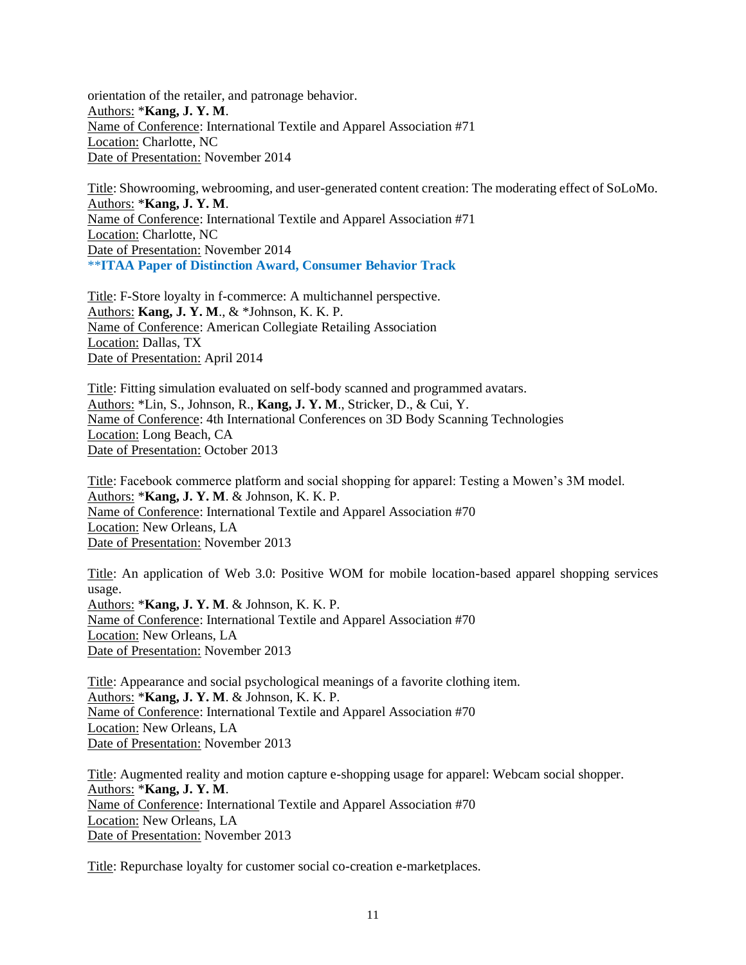orientation of the retailer, and patronage behavior. Authors: \***Kang, J. Y. M**. Name of Conference: International Textile and Apparel Association #71 Location: Charlotte, NC Date of Presentation: November 2014

Title: Showrooming, webrooming, and user-generated content creation: The moderating effect of SoLoMo. Authors: \***Kang, J. Y. M**. Name of Conference: International Textile and Apparel Association #71 Location: Charlotte, NC Date of Presentation: November 2014 \*\***ITAA Paper of Distinction Award, Consumer Behavior Track**

Title: F-Store loyalty in f-commerce: A multichannel perspective. Authors: **Kang, J. Y. M**., & \*Johnson, K. K. P. Name of Conference: American Collegiate Retailing Association Location: Dallas, TX Date of Presentation: April 2014

Title: Fitting simulation evaluated on self-body scanned and programmed avatars. Authors: \*Lin, S., Johnson, R., **Kang, J. Y. M**., Stricker, D., & Cui, Y. Name of Conference: 4th International Conferences on 3D Body Scanning Technologies Location: Long Beach, CA Date of Presentation: October 2013

Title: Facebook commerce platform and social shopping for apparel: Testing a Mowen's 3M model. Authors: \***Kang, J. Y. M**. & Johnson, K. K. P. Name of Conference: International Textile and Apparel Association #70 Location: New Orleans, LA Date of Presentation: November 2013

Title: An application of Web 3.0: Positive WOM for mobile location-based apparel shopping services usage. Authors: \***Kang, J. Y. M**. & Johnson, K. K. P. Name of Conference: International Textile and Apparel Association #70 Location: New Orleans, LA Date of Presentation: November 2013

Title: Appearance and social psychological meanings of a favorite clothing item. Authors: \***Kang, J. Y. M**. & Johnson, K. K. P. Name of Conference: International Textile and Apparel Association #70 Location: New Orleans, LA Date of Presentation: November 2013

Title: Augmented reality and motion capture e-shopping usage for apparel: Webcam social shopper. Authors: \***Kang, J. Y. M**. Name of Conference: International Textile and Apparel Association #70 Location: New Orleans, LA Date of Presentation: November 2013

Title: Repurchase loyalty for customer social co-creation e-marketplaces.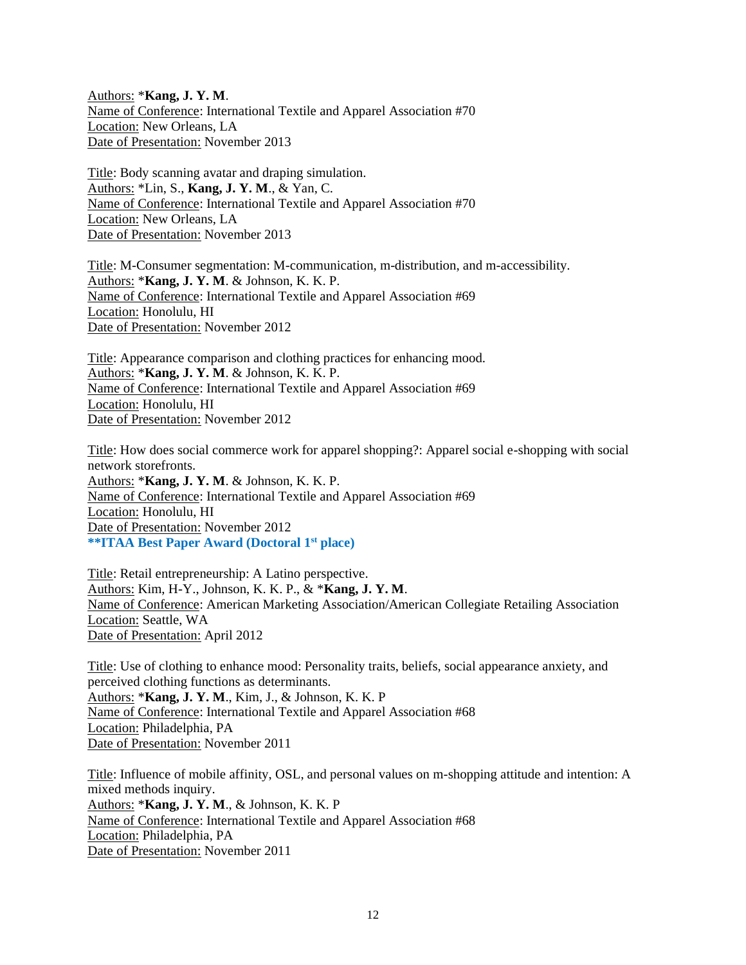Authors: \***Kang, J. Y. M**. Name of Conference: International Textile and Apparel Association #70 Location: New Orleans, LA Date of Presentation: November 2013

Title: Body scanning avatar and draping simulation. Authors: \*Lin, S., **Kang, J. Y. M**., & Yan, C. Name of Conference: International Textile and Apparel Association #70 Location: New Orleans, LA Date of Presentation: November 2013

Title: M-Consumer segmentation: M-communication, m-distribution, and m-accessibility. Authors: \***Kang, J. Y. M**. & Johnson, K. K. P. Name of Conference: International Textile and Apparel Association #69 Location: Honolulu, HI Date of Presentation: November 2012

Title: Appearance comparison and clothing practices for enhancing mood. Authors: \***Kang, J. Y. M**. & Johnson, K. K. P. Name of Conference: International Textile and Apparel Association #69 Location: Honolulu, HI Date of Presentation: November 2012

Title: How does social commerce work for apparel shopping?: Apparel social e-shopping with social network storefronts. Authors: \***Kang, J. Y. M**. & Johnson, K. K. P. Name of Conference: International Textile and Apparel Association #69 Location: Honolulu, HI Date of Presentation: November 2012 **\*\*ITAA Best Paper Award (Doctoral 1st place)**

Title: Retail entrepreneurship: A Latino perspective. Authors: Kim, H-Y., Johnson, K. K. P., & \***Kang, J. Y. M**. Name of Conference: American Marketing Association/American Collegiate Retailing Association Location: Seattle, WA Date of Presentation: April 2012

Title: Use of clothing to enhance mood: Personality traits, beliefs, social appearance anxiety, and perceived clothing functions as determinants. Authors: \***Kang, J. Y. M**., Kim, J., & Johnson, K. K. P Name of Conference: International Textile and Apparel Association #68 Location: Philadelphia, PA Date of Presentation: November 2011

Title: Influence of mobile affinity, OSL, and personal values on m-shopping attitude and intention: A mixed methods inquiry. Authors: \***Kang, J. Y. M**., & Johnson, K. K. P Name of Conference: International Textile and Apparel Association #68 Location: Philadelphia, PA Date of Presentation: November 2011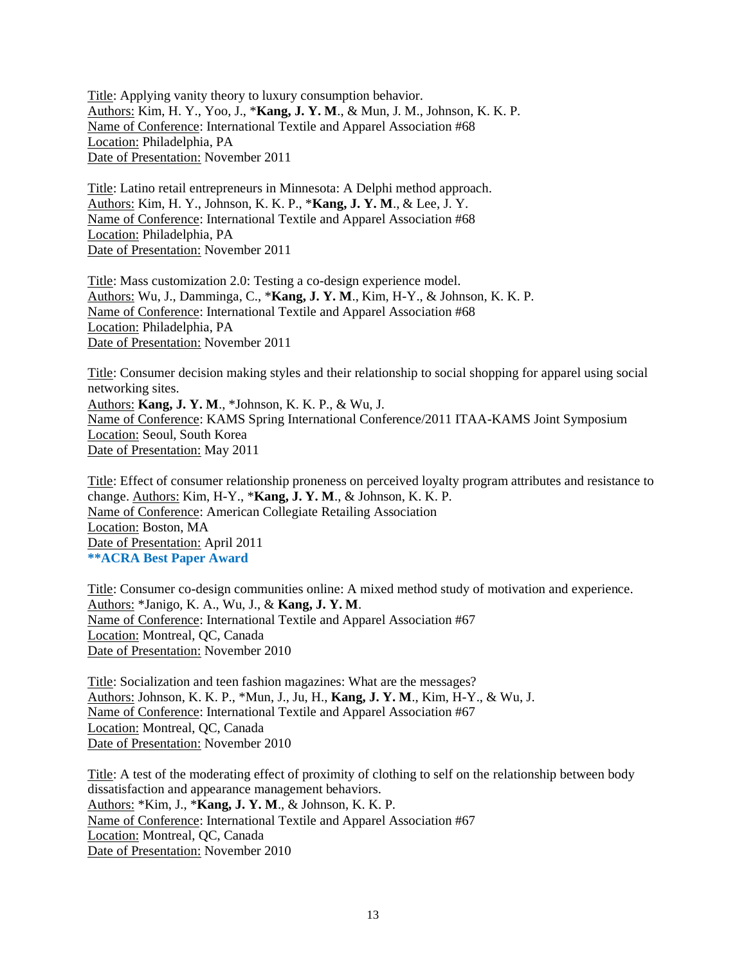Title: Applying vanity theory to luxury consumption behavior. Authors: Kim, H. Y., Yoo, J., \***Kang, J. Y. M**., & Mun, J. M., Johnson, K. K. P. Name of Conference: International Textile and Apparel Association #68 Location: Philadelphia, PA Date of Presentation: November 2011

Title: Latino retail entrepreneurs in Minnesota: A Delphi method approach. Authors: Kim, H. Y., Johnson, K. K. P., \***Kang, J. Y. M**., & Lee, J. Y. Name of Conference: International Textile and Apparel Association #68 Location: Philadelphia, PA Date of Presentation: November 2011

Title: Mass customization 2.0: Testing a co-design experience model. Authors: Wu, J., Damminga, C., \***Kang, J. Y. M**., Kim, H-Y., & Johnson, K. K. P. Name of Conference: International Textile and Apparel Association #68 Location: Philadelphia, PA Date of Presentation: November 2011

Title: Consumer decision making styles and their relationship to social shopping for apparel using social networking sites. Authors: **Kang, J. Y. M**., \*Johnson, K. K. P., & Wu, J. Name of Conference: KAMS Spring International Conference/2011 ITAA-KAMS Joint Symposium Location: Seoul, South Korea Date of Presentation: May 2011

Title: Effect of consumer relationship proneness on perceived loyalty program attributes and resistance to change. Authors: Kim, H-Y., \***Kang, J. Y. M**., & Johnson, K. K. P. Name of Conference: American Collegiate Retailing Association Location: Boston, MA Date of Presentation: April 2011 **\*\*ACRA Best Paper Award**

Title: Consumer co-design communities online: A mixed method study of motivation and experience. Authors: \*Janigo, K. A., Wu, J., & **Kang, J. Y. M**. Name of Conference: International Textile and Apparel Association #67 Location: Montreal, QC, Canada Date of Presentation: November 2010

Title: Socialization and teen fashion magazines: What are the messages? Authors: Johnson, K. K. P., \*Mun, J., Ju, H., **Kang, J. Y. M**., Kim, H-Y., & Wu, J. Name of Conference: International Textile and Apparel Association #67 Location: Montreal, QC, Canada Date of Presentation: November 2010

Title: A test of the moderating effect of proximity of clothing to self on the relationship between body dissatisfaction and appearance management behaviors. Authors: \*Kim, J., \***Kang, J. Y. M**., & Johnson, K. K. P. Name of Conference: International Textile and Apparel Association #67 Location: Montreal, QC, Canada Date of Presentation: November 2010